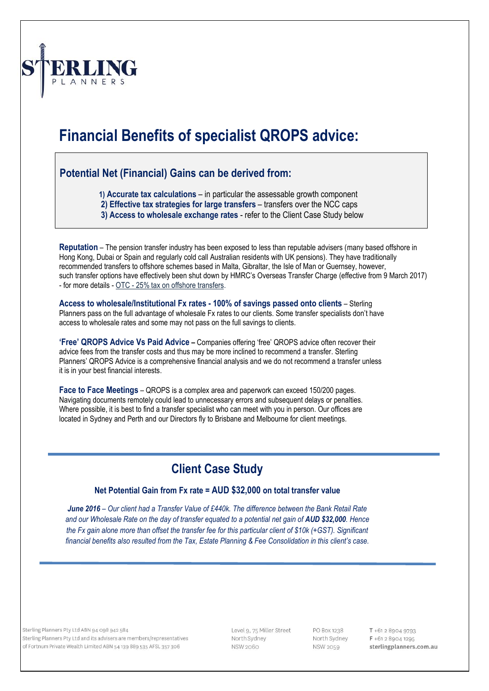

# **Financial Benefits of specialist QROPS advice:**

#### **Potential Net (Financial) Gains can be derived from:**

 **1) Accurate tax calculations** – in particular the assessable growth component

- **2) Effective tax strategies for large transfers** transfers over the NCC caps
- **3) Access to wholesale exchange rates** refer to the Client Case Study below

**Reputation** – The pension transfer industry has been exposed to less than reputable advisers (many based offshore in Hong Kong, Dubai or Spain and regularly cold call Australian residents with UK pensions). They have traditionally recommended transfers to offshore schemes based in Malta, Gibraltar, the Isle of Man or Guernsey, however, such transfer options have effectively been shut down by HMRC's Overseas Transfer Charge (effective from 9 March 2017) - for more details - OTC - [25% tax on offshore transfers.](http://www.sterlingplanners.com.au/HMRC-Introduces-25-tax-charge-on-QROPS-Transfers)

**Access to wholesale/Institutional Fx rates - 100% of savings passed onto clients** – Sterling Planners pass on the full advantage of wholesale Fx rates to our clients. Some transfer specialists don't have access to wholesale rates and some may not pass on the full savings to clients.

**'Free' QROPS Advice Vs Paid Advice –** Companies offering 'free' QROPS advice often recover their advice fees from the transfer costs and thus may be more inclined to recommend a transfer. Sterling Planners' QROPS Advice is a comprehensive financial analysis and we do not recommend a transfer unless it is in your best financial interests.

**Face to Face Meetings** – QROPS is a complex area and paperwork can exceed 150/200 pages. Navigating documents remotely could lead to unnecessary errors and subsequent delays or penalties. Where possible, it is best to find a transfer specialist who can meet with you in person. Our offices are located in Sydney and Perth and our Directors fly to Brisbane and Melbourne for client meetings.

## **Client Case Study**

#### **Net Potential Gain from Fx rate = AUD \$32,000 on total transfer value**

*June 2016 – Our client had a Transfer Value of £440k. The difference between the Bank Retail Rate and our Wholesale Rate on the day of transfer equated to a potential net gain of AUD \$32,000. Hence the Fx gain alone more than offset the transfer fee for this particular client of \$10k (+GST). Significant financial benefits also resulted from the Tax, Estate Planning & Fee Consolidation in this client's case.*

Sterling Planners Pty Ltd ABN 94 098 942 584 Sterling Planners Pty Ltd and its advisers are members/representatives of Fortnum Private Wealth Limited ABN 54 139 889 535 AFSL 357 306

Level 9, 75 Miller Street North Sydney **NSW 2060** 

PO Box 1238 North Sydney **NSW 2059** 

T +61 2 8904 9793 F +61 2 8904 1295 sterlingplanners.com.au